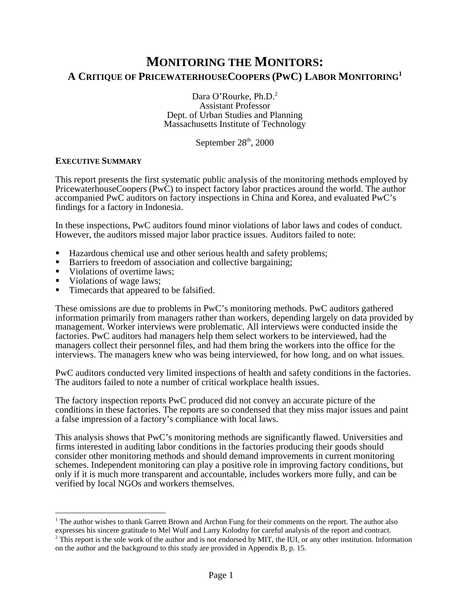# **MONITORING THE MONITORS: A CRITIQUE OF PRICEWATERHOUSECOOPERS (PWC) LABOR MONITORING<sup>1</sup>**

Dara O'Rourke, Ph.D.<sup>2</sup> Assistant Professor Dept. of Urban Studies and Planning Massachusetts Institute of Technology

September 28<sup>th</sup>, 2000

### **EXECUTIVE SUMMARY**

This report presents the first systematic public analysis of the monitoring methods employed by PricewaterhouseCoopers (PwC) to inspect factory labor practices around the world. The author accompanied PwC auditors on factory inspections in China and Korea, and evaluated PwC's findings for a factory in Indonesia.

In these inspections, PwC auditors found minor violations of labor laws and codes of conduct. However, the auditors missed major labor practice issues. Auditors failed to note:

- ß Hazardous chemical use and other serious health and safety problems;
- Barriers to freedom of association and collective bargaining;
- Violations of overtime laws:
- Violations of wage laws;
- Timecards that appeared to be falsified.

These omissions are due to problems in PwC's monitoring methods. PwC auditors gathered information primarily from managers rather than workers, depending largely on data provided by management. Worker interviews were problematic. All interviews were conducted inside the factories. PwC auditors had managers help them select workers to be interviewed, had the managers collect their personnel files, and had them bring the workers into the office for the interviews. The managers knew who was being interviewed, for how long, and on what issues.

PwC auditors conducted very limited inspections of health and safety conditions in the factories. The auditors failed to note a number of critical workplace health issues.

The factory inspection reports PwC produced did not convey an accurate picture of the conditions in these factories. The reports are so condensed that they miss major issues and paint a false impression of a factory's compliance with local laws.

This analysis shows that PwC's monitoring methods are significantly flawed. Universities and firms interested in auditing labor conditions in the factories producing their goods should consider other monitoring methods and should demand improvements in current monitoring schemes. Independent monitoring can play a positive role in improving factory conditions, but only if it is much more transparent and accountable, includes workers more fully, and can be verified by local NGOs and workers themselves.

 $\overline{a}$ <sup>1</sup> The author wishes to thank Garrett Brown and Archon Fung for their comments on the report. The author also

expresses his sincere gratitude to Mel Wulf and Larry Kolodny for careful analysis of the report and contract.<br><sup>2</sup> This report is the sole work of the author and is not endorsed by MIT, the IUI, or any other institution. I on the author and the background to this study are provided in Appendix B, p. 15.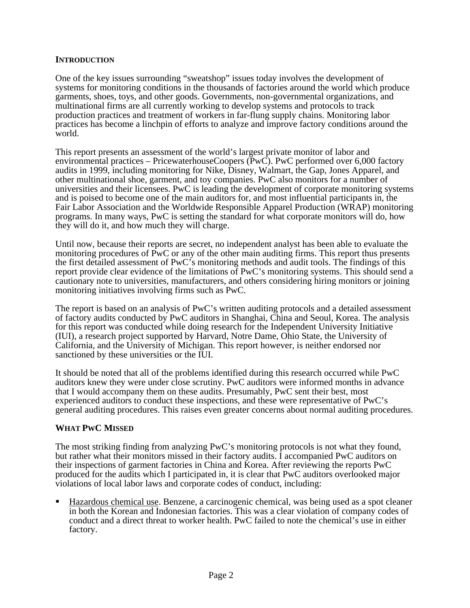### **INTRODUCTION**

One of the key issues surrounding "sweatshop" issues today involves the development of systems for monitoring conditions in the thousands of factories around the world which produce garments, shoes, toys, and other goods. Governments, non-governmental organizations, and multinational firms are all currently working to develop systems and protocols to track production practices and treatment of workers in far-flung supply chains. Monitoring labor practices has become a linchpin of efforts to analyze and improve factory conditions around the world.

This report presents an assessment of the world's largest private monitor of labor and environmental practices – PricewaterhouseCoopers (PwC). PwC performed over 6,000 factory audits in 1999, including monitoring for Nike, Disney, Walmart, the Gap, Jones Apparel, and other multinational shoe, garment, and toy companies. PwC also monitors for a number of universities and their licensees. PwC is leading the development of corporate monitoring systems and is poised to become one of the main auditors for, and most influential participants in, the Fair Labor Association and the Worldwide Responsible Apparel Production (WRAP) monitoring programs. In many ways, PwC is setting the standard for what corporate monitors will do, how they will do it, and how much they will charge.

Until now, because their reports are secret, no independent analyst has been able to evaluate the monitoring procedures of PwC or any of the other main auditing firms. This report thus presents the first detailed assessment of PwC's monitoring methods and audit tools. The findings of this report provide clear evidence of the limitations of PwC's monitoring systems. This should send a cautionary note to universities, manufacturers, and others considering hiring monitors or joining monitoring initiatives involving firms such as PwC.

The report is based on an analysis of PwC's written auditing protocols and a detailed assessment of factory audits conducted by PwC auditors in Shanghai, China and Seoul, Korea. The analysis for this report was conducted while doing research for the Independent University Initiative (IUI), a research project supported by Harvard, Notre Dame, Ohio State, the University of California, and the University of Michigan. This report however, is neither endorsed nor sanctioned by these universities or the IUI.

It should be noted that all of the problems identified during this research occurred while PwC auditors knew they were under close scrutiny. PwC auditors were informed months in advance that I would accompany them on these audits. Presumably, PwC sent their best, most experienced auditors to conduct these inspections, and these were representative of PwC's general auditing procedures. This raises even greater concerns about normal auditing procedures.

# **WHAT PWC MISSED**

The most striking finding from analyzing PwC's monitoring protocols is not what they found, but rather what their monitors missed in their factory audits. I accompanied PwC auditors on their inspections of garment factories in China and Korea. After reviewing the reports PwC produced for the audits which I participated in, it is clear that PwC auditors overlooked major violations of local labor laws and corporate codes of conduct, including:

ß Hazardous chemical use. Benzene, a carcinogenic chemical, was being used as a spot cleaner in both the Korean and Indonesian factories. This was a clear violation of company codes of conduct and a direct threat to worker health. PwC failed to note the chemical's use in either factory.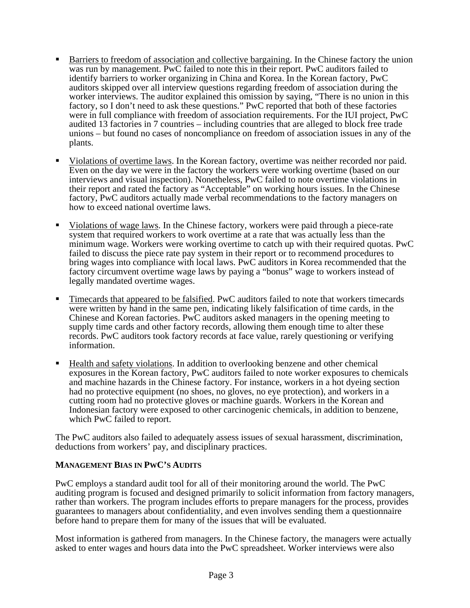- ß Barriers to freedom of association and collective bargaining. In the Chinese factory the union was run by management. PwC failed to note this in their report. PwC auditors failed to identify barriers to worker organizing in China and Korea. In the Korean factory, PwC auditors skipped over all interview questions regarding freedom of association during the worker interviews. The auditor explained this omission by saying, "There is no union in this factory, so I don't need to ask these questions." PwC reported that both of these factories were in full compliance with freedom of association requirements. For the IUI project, PwC audited 13 factories in 7 countries – including countries that are alleged to block free trade unions – but found no cases of noncompliance on freedom of association issues in any of the plants.
- ß Violations of overtime laws. In the Korean factory, overtime was neither recorded nor paid. Even on the day we were in the factory the workers were working overtime (based on our interviews and visual inspection). Nonetheless, PwC failed to note overtime violations in their report and rated the factory as "Acceptable" on working hours issues. In the Chinese factory, PwC auditors actually made verbal recommendations to the factory managers on how to exceed national overtime laws.
- ß Violations of wage laws. In the Chinese factory, workers were paid through a piece-rate system that required workers to work overtime at a rate that was actually less than the minimum wage. Workers were working overtime to catch up with their required quotas. PwC failed to discuss the piece rate pay system in their report or to recommend procedures to bring wages into compliance with local laws. PwC auditors in Korea recommended that the factory circumvent overtime wage laws by paying a "bonus" wage to workers instead of legally mandated overtime wages.
- ß Timecards that appeared to be falsified. PwC auditors failed to note that workers timecards were written by hand in the same pen, indicating likely falsification of time cards, in the Chinese and Korean factories. PwC auditors asked managers in the opening meeting to supply time cards and other factory records, allowing them enough time to alter these records. PwC auditors took factory records at face value, rarely questioning or verifying information.
- ß Health and safety violations. In addition to overlooking benzene and other chemical exposures in the Korean factory, PwC auditors failed to note worker exposures to chemicals and machine hazards in the Chinese factory. For instance, workers in a hot dyeing section had no protective equipment (no shoes, no gloves, no eye protection), and workers in a cutting room had no protective gloves or machine guards. Workers in the Korean and Indonesian factory were exposed to other carcinogenic chemicals, in addition to benzene, which PwC failed to report.

The PwC auditors also failed to adequately assess issues of sexual harassment, discrimination, deductions from workers' pay, and disciplinary practices.

### **MANAGEMENT BIAS IN PWC'S AUDITS**

PwC employs a standard audit tool for all of their monitoring around the world. The PwC auditing program is focused and designed primarily to solicit information from factory managers, rather than workers. The program includes efforts to prepare managers for the process, provides guarantees to managers about confidentiality, and even involves sending them a questionnaire before hand to prepare them for many of the issues that will be evaluated.

Most information is gathered from managers. In the Chinese factory, the managers were actually asked to enter wages and hours data into the PwC spreadsheet. Worker interviews were also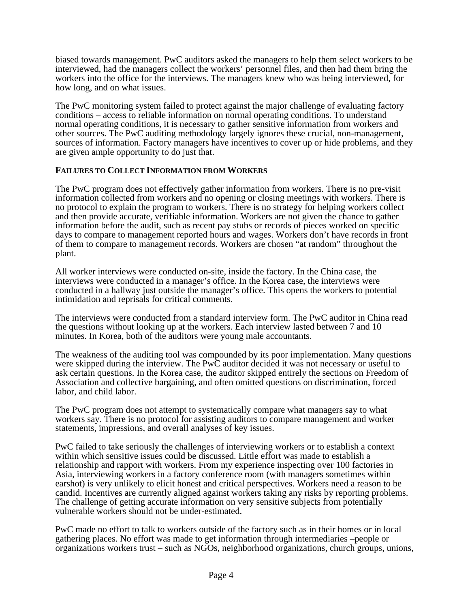biased towards management. PwC auditors asked the managers to help them select workers to be interviewed, had the managers collect the workers' personnel files, and then had them bring the workers into the office for the interviews. The managers knew who was being interviewed, for how long, and on what issues.

The PwC monitoring system failed to protect against the major challenge of evaluating factory conditions – access to reliable information on normal operating conditions. To understand normal operating conditions, it is necessary to gather sensitive information from workers and other sources. The PwC auditing methodology largely ignores these crucial, non-management, sources of information. Factory managers have incentives to cover up or hide problems, and they are given ample opportunity to do just that.

### **FAILURES TO COLLECT INFORMATION FROM WORKERS**

The PwC program does not effectively gather information from workers. There is no pre-visit information collected from workers and no opening or closing meetings with workers. There is no protocol to explain the program to workers. There is no strategy for helping workers collect and then provide accurate, verifiable information. Workers are not given the chance to gather information before the audit, such as recent pay stubs or records of pieces worked on specific days to compare to management reported hours and wages. Workers don't have records in front of them to compare to management records. Workers are chosen "at random" throughout the plant.

All worker interviews were conducted on-site, inside the factory. In the China case, the interviews were conducted in a manager's office. In the Korea case, the interviews were conducted in a hallway just outside the manager's office. This opens the workers to potential intimidation and reprisals for critical comments.

The interviews were conducted from a standard interview form. The PwC auditor in China read the questions without looking up at the workers. Each interview lasted between 7 and 10 minutes. In Korea, both of the auditors were young male accountants.

The weakness of the auditing tool was compounded by its poor implementation. Many questions were skipped during the interview. The PwC auditor decided it was not necessary or useful to ask certain questions. In the Korea case, the auditor skipped entirely the sections on Freedom of Association and collective bargaining, and often omitted questions on discrimination, forced labor, and child labor.

The PwC program does not attempt to systematically compare what managers say to what workers say. There is no protocol for assisting auditors to compare management and worker statements, impressions, and overall analyses of key issues.

PwC failed to take seriously the challenges of interviewing workers or to establish a context within which sensitive issues could be discussed. Little effort was made to establish a relationship and rapport with workers. From my experience inspecting over 100 factories in Asia, interviewing workers in a factory conference room (with managers sometimes within earshot) is very unlikely to elicit honest and critical perspectives. Workers need a reason to be candid. Incentives are currently aligned against workers taking any risks by reporting problems. The challenge of getting accurate information on very sensitive subjects from potentially vulnerable workers should not be under-estimated.

PwC made no effort to talk to workers outside of the factory such as in their homes or in local gathering places. No effort was made to get information through intermediaries –people or organizations workers trust – such as NGOs, neighborhood organizations, church groups, unions,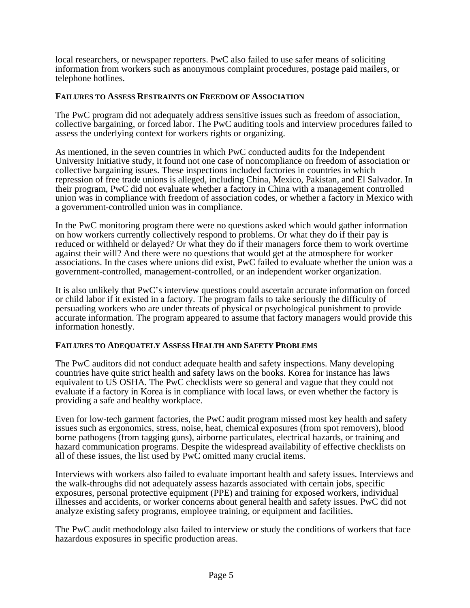local researchers, or newspaper reporters. PwC also failed to use safer means of soliciting information from workers such as anonymous complaint procedures, postage paid mailers, or telephone hotlines.

## **FAILURES TO ASSESS RESTRAINTS ON FREEDOM OF ASSOCIATION**

The PwC program did not adequately address sensitive issues such as freedom of association, collective bargaining, or forced labor. The PwC auditing tools and interview procedures failed to assess the underlying context for workers rights or organizing.

As mentioned, in the seven countries in which PwC conducted audits for the Independent University Initiative study, it found not one case of noncompliance on freedom of association or collective bargaining issues. These inspections included factories in countries in which repression of free trade unions is alleged, including China, Mexico, Pakistan, and El Salvador. In their program, PwC did not evaluate whether a factory in China with a management controlled union was in compliance with freedom of association codes, or whether a factory in Mexico with a government-controlled union was in compliance.

In the PwC monitoring program there were no questions asked which would gather information on how workers currently collectively respond to problems. Or what they do if their pay is reduced or withheld or delayed? Or what they do if their managers force them to work overtime against their will? And there were no questions that would get at the atmosphere for worker associations. In the cases where unions did exist, PwC failed to evaluate whether the union was a government-controlled, management-controlled, or an independent worker organization.

It is also unlikely that PwC's interview questions could ascertain accurate information on forced or child labor if it existed in a factory. The program fails to take seriously the difficulty of persuading workers who are under threats of physical or psychological punishment to provide accurate information. The program appeared to assume that factory managers would provide this information honestly.

### **FAILURES TO ADEQUATELY ASSESS HEALTH AND SAFETY PROBLEMS**

The PwC auditors did not conduct adequate health and safety inspections. Many developing countries have quite strict health and safety laws on the books. Korea for instance has laws equivalent to US OSHA. The PwC checklists were so general and vague that they could not evaluate if a factory in Korea is in compliance with local laws, or even whether the factory is providing a safe and healthy workplace.

Even for low-tech garment factories, the PwC audit program missed most key health and safety issues such as ergonomics, stress, noise, heat, chemical exposures (from spot removers), blood borne pathogens (from tagging guns), airborne particulates, electrical hazards, or training and hazard communication programs. Despite the widespread availability of effective checklists on all of these issues, the list used by  $Pw\bar{C}$  omitted many crucial items.

Interviews with workers also failed to evaluate important health and safety issues. Interviews and the walk-throughs did not adequately assess hazards associated with certain jobs, specific exposures, personal protective equipment (PPE) and training for exposed workers, individual illnesses and accidents, or worker concerns about general health and safety issues. PwC did not analyze existing safety programs, employee training, or equipment and facilities.

The PwC audit methodology also failed to interview or study the conditions of workers that face hazardous exposures in specific production areas.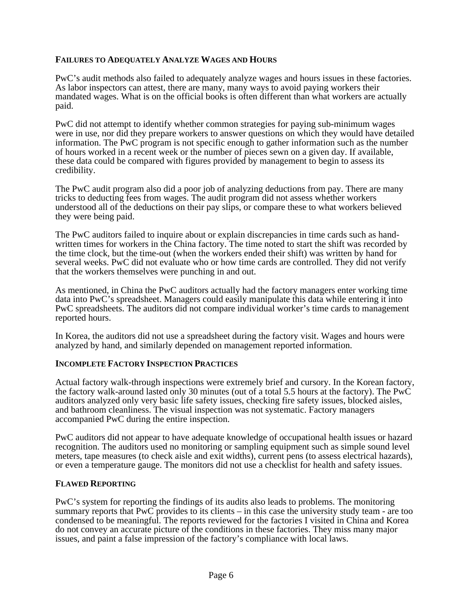## **FAILURES TO ADEQUATELY ANALYZE WAGES AND HOURS**

PwC's audit methods also failed to adequately analyze wages and hours issues in these factories. As labor inspectors can attest, there are many, many ways to avoid paying workers their mandated wages. What is on the official books is often different than what workers are actually paid.

PwC did not attempt to identify whether common strategies for paying sub-minimum wages were in use, nor did they prepare workers to answer questions on which they would have detailed information. The PwC program is not specific enough to gather information such as the number of hours worked in a recent week or the number of pieces sewn on a given day. If available, these data could be compared with figures provided by management to begin to assess its credibility.

The PwC audit program also did a poor job of analyzing deductions from pay. There are many tricks to deducting fees from wages. The audit program did not assess whether workers understood all of the deductions on their pay slips, or compare these to what workers believed they were being paid.

The PwC auditors failed to inquire about or explain discrepancies in time cards such as handwritten times for workers in the China factory. The time noted to start the shift was recorded by the time clock, but the time-out (when the workers ended their shift) was written by hand for several weeks. PwC did not evaluate who or how time cards are controlled. They did not verify that the workers themselves were punching in and out.

As mentioned, in China the PwC auditors actually had the factory managers enter working time data into PwC's spreadsheet. Managers could easily manipulate this data while entering it into PwC spreadsheets. The auditors did not compare individual worker's time cards to management reported hours.

In Korea, the auditors did not use a spreadsheet during the factory visit. Wages and hours were analyzed by hand, and similarly depended on management reported information.

### **INCOMPLETE FACTORY INSPECTION PRACTICES**

Actual factory walk-through inspections were extremely brief and cursory. In the Korean factory, the factory walk-around lasted only 30 minutes (out of a total 5.5 hours at the factory). The PwC auditors analyzed only very basic life safety issues, checking fire safety issues, blocked aisles, and bathroom cleanliness. The visual inspection was not systematic. Factory managers accompanied PwC during the entire inspection.

PwC auditors did not appear to have adequate knowledge of occupational health issues or hazard recognition. The auditors used no monitoring or sampling equipment such as simple sound level meters, tape measures (to check aisle and exit widths), current pens (to assess electrical hazards), or even a temperature gauge. The monitors did not use a checklist for health and safety issues.

#### **FLAWED REPORTING**

PwC's system for reporting the findings of its audits also leads to problems. The monitoring summary reports that PwC provides to its clients – in this case the university study team - are too condensed to be meaningful. The reports reviewed for the factories I visited in China and Korea do not convey an accurate picture of the conditions in these factories. They miss many major issues, and paint a false impression of the factory's compliance with local laws.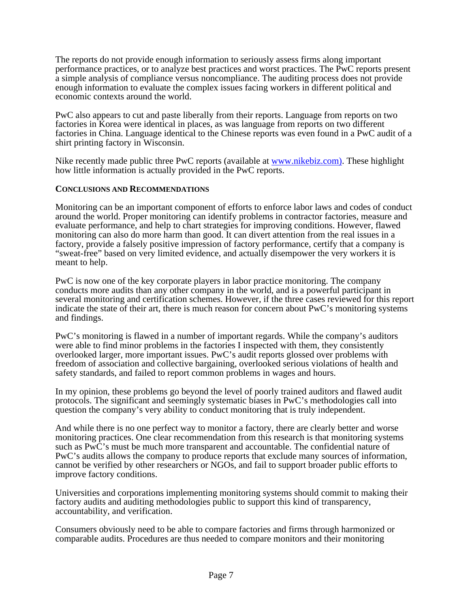The reports do not provide enough information to seriously assess firms along important performance practices, or to analyze best practices and worst practices. The PwC reports present a simple analysis of compliance versus noncompliance. The auditing process does not provide enough information to evaluate the complex issues facing workers in different political and economic contexts around the world.

PwC also appears to cut and paste liberally from their reports. Language from reports on two factories in Korea were identical in places, as was language from reports on two different factories in China. Language identical to the Chinese reports was even found in a PwC audit of a shirt printing factory in Wisconsin.

Nike recently made public three PwC reports (available at www.nikebiz.com). These highlight how little information is actually provided in the PwC reports.

### **CONCLUSIONS AND RECOMMENDATIONS**

Monitoring can be an important component of efforts to enforce labor laws and codes of conduct around the world. Proper monitoring can identify problems in contractor factories, measure and evaluate performance, and help to chart strategies for improving conditions. However, flawed monitoring can also do more harm than good. It can divert attention from the real issues in a factory, provide a falsely positive impression of factory performance, certify that a company is "sweat-free" based on very limited evidence, and actually disempower the very workers it is meant to help.

PwC is now one of the key corporate players in labor practice monitoring. The company conducts more audits than any other company in the world, and is a powerful participant in several monitoring and certification schemes. However, if the three cases reviewed for this report indicate the state of their art, there is much reason for concern about PwC's monitoring systems and findings.

PwC's monitoring is flawed in a number of important regards. While the company's auditors were able to find minor problems in the factories I inspected with them, they consistently overlooked larger, more important issues. PwC's audit reports glossed over problems with freedom of association and collective bargaining, overlooked serious violations of health and safety standards, and failed to report common problems in wages and hours.

In my opinion, these problems go beyond the level of poorly trained auditors and flawed audit protocols. The significant and seemingly systematic biases in PwC's methodologies call into question the company's very ability to conduct monitoring that is truly independent.

And while there is no one perfect way to monitor a factory, there are clearly better and worse monitoring practices. One clear recommendation from this research is that monitoring systems such as PwC's must be much more transparent and accountable. The confidential nature of PwC's audits allows the company to produce reports that exclude many sources of information, cannot be verified by other researchers or NGOs, and fail to support broader public efforts to improve factory conditions.

Universities and corporations implementing monitoring systems should commit to making their factory audits and auditing methodologies public to support this kind of transparency, accountability, and verification.

Consumers obviously need to be able to compare factories and firms through harmonized or comparable audits. Procedures are thus needed to compare monitors and their monitoring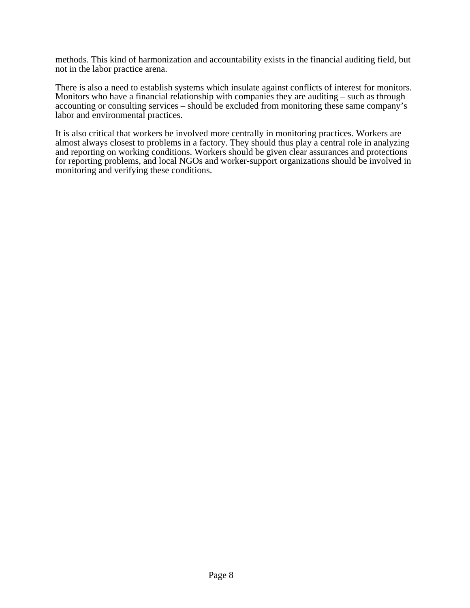methods. This kind of harmonization and accountability exists in the financial auditing field, but not in the labor practice arena.

There is also a need to establish systems which insulate against conflicts of interest for monitors. Monitors who have a financial relationship with companies they are auditing – such as through accounting or consulting services – should be excluded from monitoring these same company's labor and environmental practices.

It is also critical that workers be involved more centrally in monitoring practices. Workers are almost always closest to problems in a factory. They should thus play a central role in analyzing and reporting on working conditions. Workers should be given clear assurances and protections for reporting problems, and local NGOs and worker-support organizations should be involved in monitoring and verifying these conditions.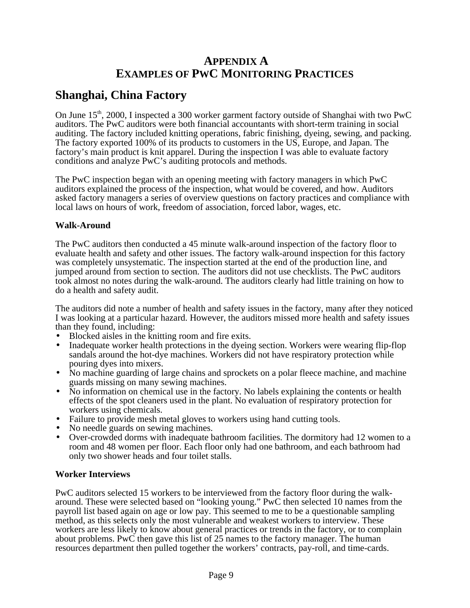# **APPENDIX A EXAMPLES OF PWC MONITORING PRACTICES**

# **Shanghai, China Factory**

On June 15<sup>th</sup>, 2000, I inspected a 300 worker garment factory outside of Shanghai with two PwC auditors. The PwC auditors were both financial accountants with short-term training in social auditing. The factory included knitting operations, fabric finishing, dyeing, sewing, and packing. The factory exported 100% of its products to customers in the US, Europe, and Japan. The factory's main product is knit apparel. During the inspection I was able to evaluate factory conditions and analyze PwC's auditing protocols and methods.

The PwC inspection began with an opening meeting with factory managers in which PwC auditors explained the process of the inspection, what would be covered, and how. Auditors asked factory managers a series of overview questions on factory practices and compliance with local laws on hours of work, freedom of association, forced labor, wages, etc.

## **Walk-Around**

The PwC auditors then conducted a 45 minute walk-around inspection of the factory floor to evaluate health and safety and other issues. The factory walk-around inspection for this factory was completely unsystematic. The inspection started at the end of the production line, and jumped around from section to section. The auditors did not use checklists. The PwC auditors took almost no notes during the walk-around. The auditors clearly had little training on how to do a health and safety audit.

The auditors did note a number of health and safety issues in the factory, many after they noticed I was looking at a particular hazard. However, the auditors missed more health and safety issues than they found, including:

- Blocked aisles in the knitting room and fire exits.
- Inadequate worker health protections in the dyeing section. Workers were wearing flip-flop sandals around the hot-dye machines. Workers did not have respiratory protection while pouring dyes into mixers.
- No machine guarding of large chains and sprockets on a polar fleece machine, and machine guards missing on many sewing machines.
- No information on chemical use in the factory. No labels explaining the contents or health effects of the spot cleaners used in the plant. No evaluation of respiratory protection for workers using chemicals.
- Failure to provide mesh metal gloves to workers using hand cutting tools.
- No needle guards on sewing machines.
- Over-crowded dorms with inadequate bathroom facilities. The dormitory had 12 women to a room and 48 women per floor. Each floor only had one bathroom, and each bathroom had only two shower heads and four toilet stalls.

### **Worker Interviews**

PwC auditors selected 15 workers to be interviewed from the factory floor during the walkaround. These were selected based on "looking young." PwC then selected 10 names from the payroll list based again on age or low pay. This seemed to me to be a questionable sampling method, as this selects only the most vulnerable and weakest workers to interview. These workers are less likely to know about general practices or trends in the factory, or to complain about problems. PwC then gave this list of 25 names to the factory manager. The human resources department then pulled together the workers' contracts, pay-roll, and time-cards.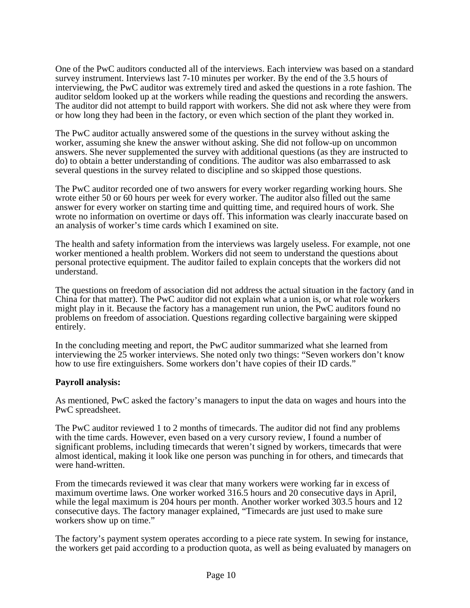One of the PwC auditors conducted all of the interviews. Each interview was based on a standard survey instrument. Interviews last 7-10 minutes per worker. By the end of the 3.5 hours of interviewing, the PwC auditor was extremely tired and asked the questions in a rote fashion. The auditor seldom looked up at the workers while reading the questions and recording the answers. The auditor did not attempt to build rapport with workers. She did not ask where they were from or how long they had been in the factory, or even which section of the plant they worked in.

The PwC auditor actually answered some of the questions in the survey without asking the worker, assuming she knew the answer without asking. She did not follow-up on uncommon answers. She never supplemented the survey with additional questions (as they are instructed to do) to obtain a better understanding of conditions. The auditor was also embarrassed to ask several questions in the survey related to discipline and so skipped those questions.

The PwC auditor recorded one of two answers for every worker regarding working hours. She wrote either 50 or 60 hours per week for every worker. The auditor also filled out the same answer for every worker on starting time and quitting time, and required hours of work. She wrote no information on overtime or days off. This information was clearly inaccurate based on an analysis of worker's time cards which I examined on site.

The health and safety information from the interviews was largely useless. For example, not one worker mentioned a health problem. Workers did not seem to understand the questions about personal protective equipment. The auditor failed to explain concepts that the workers did not understand.

The questions on freedom of association did not address the actual situation in the factory (and in China for that matter). The PwC auditor did not explain what a union is, or what role workers might play in it. Because the factory has a management run union, the PwC auditors found no problems on freedom of association. Questions regarding collective bargaining were skipped entirely.

In the concluding meeting and report, the PwC auditor summarized what she learned from interviewing the 25 worker interviews. She noted only two things: "Seven workers don't know how to use fire extinguishers. Some workers don't have copies of their ID cards."

### **Payroll analysis:**

As mentioned, PwC asked the factory's managers to input the data on wages and hours into the PwC spreadsheet.

The PwC auditor reviewed 1 to 2 months of timecards. The auditor did not find any problems with the time cards. However, even based on a very cursory review, I found a number of significant problems, including timecards that weren't signed by workers, timecards that were almost identical, making it look like one person was punching in for others, and timecards that were hand-written.

From the timecards reviewed it was clear that many workers were working far in excess of maximum overtime laws. One worker worked 316.5 hours and 20 consecutive days in April, while the legal maximum is 204 hours per month. Another worker worked 303.5 hours and 12 consecutive days. The factory manager explained, "Timecards are just used to make sure workers show up on time."

The factory's payment system operates according to a piece rate system. In sewing for instance, the workers get paid according to a production quota, as well as being evaluated by managers on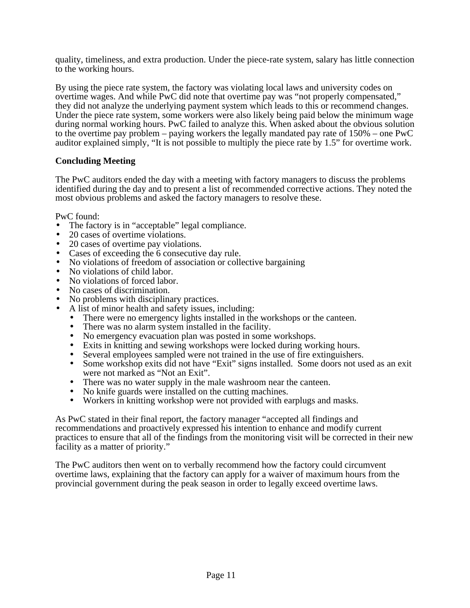quality, timeliness, and extra production. Under the piece-rate system, salary has little connection to the working hours.

By using the piece rate system, the factory was violating local laws and university codes on overtime wages. And while PwC did note that overtime pay was "not properly compensated," they did not analyze the underlying payment system which leads to this or recommend changes. Under the piece rate system, some workers were also likely being paid below the minimum wage during normal working hours. PwC failed to analyze this. When asked about the obvious solution to the overtime pay problem – paying workers the legally mandated pay rate of 150% – one PwC auditor explained simply, "It is not possible to multiply the piece rate by 1.5" for overtime work.

## **Concluding Meeting**

The PwC auditors ended the day with a meeting with factory managers to discuss the problems identified during the day and to present a list of recommended corrective actions. They noted the most obvious problems and asked the factory managers to resolve these.

PwC found:

- The factory is in "acceptable" legal compliance.
- 20 cases of overtime violations.
- 20 cases of overtime pay violations.
- Cases of exceeding the 6 consecutive day rule.
- No violations of freedom of association or collective bargaining
- No violations of child labor.
- No violations of forced labor.
- No cases of discrimination.
- No problems with disciplinary practices.
- A list of minor health and safety issues, including:
	- There were no emergency lights installed in the workshops or the canteen.
	- There was no alarm system installed in the facility.
	- No emergency evacuation plan was posted in some workshops.
	- Exits in knitting and sewing workshops were locked during working hours.
	- Several employees sampled were not trained in the use of fire extinguishers.
	- Some workshop exits did not have "Exit" signs installed. Some doors not used as an exit were not marked as "Not an Exit".
	- There was no water supply in the male washroom near the canteen.
	- No knife guards were installed on the cutting machines.
	- Workers in knitting workshop were not provided with earplugs and masks.

As PwC stated in their final report, the factory manager "accepted all findings and recommendations and proactively expressed his intention to enhance and modify current practices to ensure that all of the findings from the monitoring visit will be corrected in their new facility as a matter of priority."

The PwC auditors then went on to verbally recommend how the factory could circumvent overtime laws, explaining that the factory can apply for a waiver of maximum hours from the provincial government during the peak season in order to legally exceed overtime laws.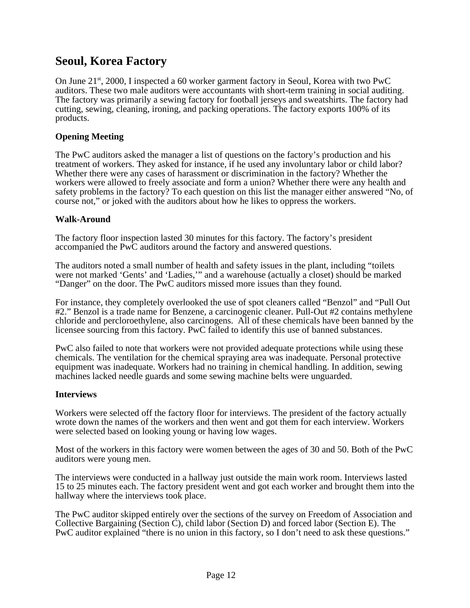# **Seoul, Korea Factory**

On June  $21<sup>st</sup>$ , 2000, I inspected a 60 worker garment factory in Seoul, Korea with two PwC auditors. These two male auditors were accountants with short-term training in social auditing. The factory was primarily a sewing factory for football jerseys and sweatshirts. The factory had cutting, sewing, cleaning, ironing, and packing operations. The factory exports 100% of its products.

# **Opening Meeting**

The PwC auditors asked the manager a list of questions on the factory's production and his treatment of workers. They asked for instance, if he used any involuntary labor or child labor? Whether there were any cases of harassment or discrimination in the factory? Whether the workers were allowed to freely associate and form a union? Whether there were any health and safety problems in the factory? To each question on this list the manager either answered "No, of course not," or joked with the auditors about how he likes to oppress the workers.

## **Walk-Around**

The factory floor inspection lasted 30 minutes for this factory. The factory's president accompanied the PwC auditors around the factory and answered questions.

The auditors noted a small number of health and safety issues in the plant, including "toilets were not marked 'Gents' and 'Ladies,'" and a warehouse (actually a closet) should be marked "Danger" on the door. The PwC auditors missed more issues than they found.

For instance, they completely overlooked the use of spot cleaners called "Benzol" and "Pull Out #2." Benzol is a trade name for Benzene, a carcinogenic cleaner. Pull-Out #2 contains methylene chloride and percloroethylene, also carcinogens. All of these chemicals have been banned by the licensee sourcing from this factory. PwC failed to identify this use of banned substances.

PwC also failed to note that workers were not provided adequate protections while using these chemicals. The ventilation for the chemical spraying area was inadequate. Personal protective equipment was inadequate. Workers had no training in chemical handling. In addition, sewing machines lacked needle guards and some sewing machine belts were unguarded.

### **Interviews**

Workers were selected off the factory floor for interviews. The president of the factory actually wrote down the names of the workers and then went and got them for each interview. Workers were selected based on looking young or having low wages.

Most of the workers in this factory were women between the ages of 30 and 50. Both of the PwC auditors were young men.

The interviews were conducted in a hallway just outside the main work room. Interviews lasted 15 to 25 minutes each. The factory president went and got each worker and brought them into the hallway where the interviews took place.

The PwC auditor skipped entirely over the sections of the survey on Freedom of Association and Collective Bargaining (Section C), child labor (Section D) and forced labor (Section E). The PwC auditor explained "there is no union in this factory, so I don't need to ask these questions."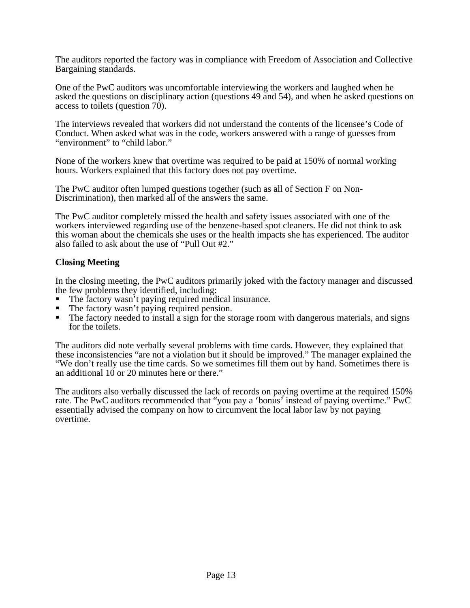The auditors reported the factory was in compliance with Freedom of Association and Collective Bargaining standards.

One of the PwC auditors was uncomfortable interviewing the workers and laughed when he asked the questions on disciplinary action (questions 49 and 54), and when he asked questions on access to toilets (question  $70$ ).

The interviews revealed that workers did not understand the contents of the licensee's Code of Conduct. When asked what was in the code, workers answered with a range of guesses from "environment" to "child labor."

None of the workers knew that overtime was required to be paid at 150% of normal working hours. Workers explained that this factory does not pay overtime.

The PwC auditor often lumped questions together (such as all of Section F on Non-Discrimination), then marked all of the answers the same.

The PwC auditor completely missed the health and safety issues associated with one of the workers interviewed regarding use of the benzene-based spot cleaners. He did not think to ask this woman about the chemicals she uses or the health impacts she has experienced. The auditor also failed to ask about the use of "Pull Out #2."

## **Closing Meeting**

In the closing meeting, the PwC auditors primarily joked with the factory manager and discussed the few problems they identified, including:

- The factory wasn't paying required medical insurance.
- The factory wasn't paying required pension.
- ß The factory needed to install a sign for the storage room with dangerous materials, and signs for the toilets.

The auditors did note verbally several problems with time cards. However, they explained that these inconsistencies "are not a violation but it should be improved." The manager explained the "We don't really use the time cards. So we sometimes fill them out by hand. Sometimes there is an additional 10 or 20 minutes here or there."

The auditors also verbally discussed the lack of records on paying overtime at the required 150% rate. The PwC auditors recommended that "you pay a 'bonus' instead of paying overtime." PwC essentially advised the company on how to circumvent the local labor law by not paying overtime.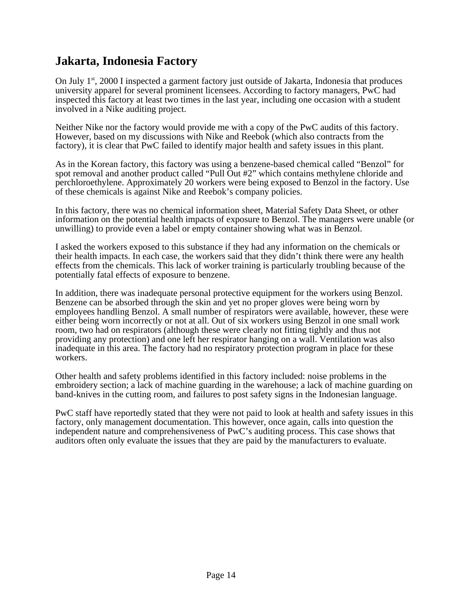# **Jakarta, Indonesia Factory**

On July  $1^{st}$ , 2000 I inspected a garment factory just outside of Jakarta, Indonesia that produces university apparel for several prominent licensees. According to factory managers, PwC had inspected this factory at least two times in the last year, including one occasion with a student involved in a Nike auditing project.

Neither Nike nor the factory would provide me with a copy of the PwC audits of this factory. However, based on my discussions with Nike and Reebok (which also contracts from the factory), it is clear that PwC failed to identify major health and safety issues in this plant.

As in the Korean factory, this factory was using a benzene-based chemical called "Benzol" for spot removal and another product called "Pull Out #2" which contains methylene chloride and perchloroethylene. Approximately 20 workers were being exposed to Benzol in the factory. Use of these chemicals is against Nike and Reebok's company policies.

In this factory, there was no chemical information sheet, Material Safety Data Sheet, or other information on the potential health impacts of exposure to Benzol. The managers were unable (or unwilling) to provide even a label or empty container showing what was in Benzol.

I asked the workers exposed to this substance if they had any information on the chemicals or their health impacts. In each case, the workers said that they didn't think there were any health effects from the chemicals. This lack of worker training is particularly troubling because of the potentially fatal effects of exposure to benzene.

In addition, there was inadequate personal protective equipment for the workers using Benzol. Benzene can be absorbed through the skin and yet no proper gloves were being worn by employees handling Benzol. A small number of respirators were available, however, these were either being worn incorrectly or not at all. Out of six workers using Benzol in one small work room, two had on respirators (although these were clearly not fitting tightly and thus not providing any protection) and one left her respirator hanging on a wall. Ventilation was also inadequate in this area. The factory had no respiratory protection program in place for these workers.

Other health and safety problems identified in this factory included: noise problems in the embroidery section; a lack of machine guarding in the warehouse; a lack of machine guarding on band-knives in the cutting room, and failures to post safety signs in the Indonesian language.

PwC staff have reportedly stated that they were not paid to look at health and safety issues in this factory, only management documentation. This however, once again, calls into question the independent nature and comprehensiveness of PwC's auditing process. This case shows that auditors often only evaluate the issues that they are paid by the manufacturers to evaluate.